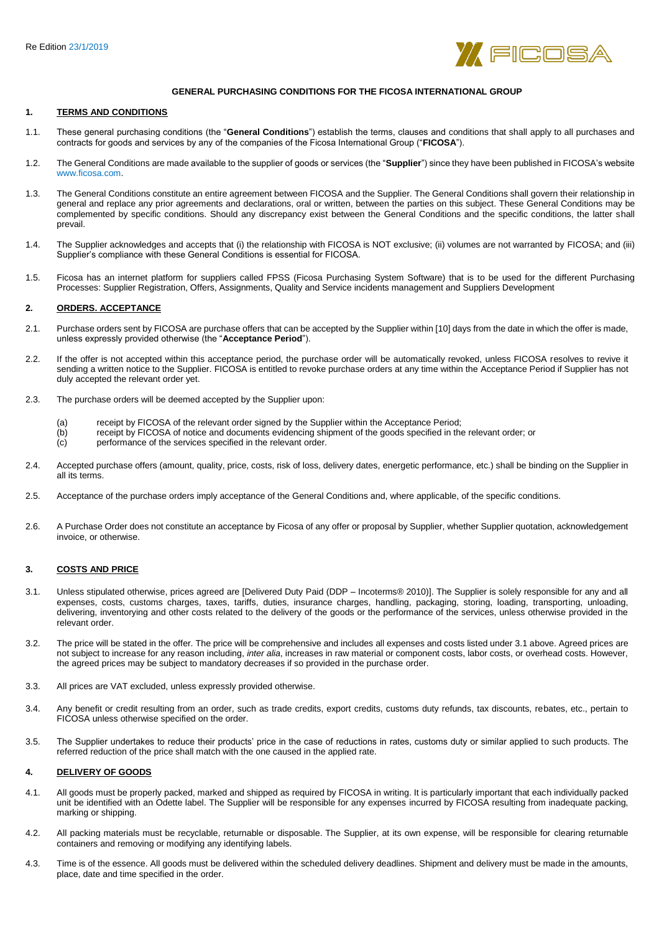

# **GENERAL PURCHASING CONDITIONS FOR THE FICOSA INTERNATIONAL GROUP**

#### **1. TERMS AND CONDITIONS**

- 1.1. These general purchasing conditions (the "**General Conditions**") establish the terms, clauses and conditions that shall apply to all purchases and contracts for goods and services by any of the companies of the Ficosa International Group ("**FICOSA**").
- 1.2. The General Conditions are made available to the supplier of goods or services (the "**Supplier**") since they have been published in FICOSA's website www.ficosa.com.
- 1.3. The General Conditions constitute an entire agreement between FICOSA and the Supplier. The General Conditions shall govern their relationship in general and replace any prior agreements and declarations, oral or written, between the parties on this subject. These General Conditions may be complemented by specific conditions. Should any discrepancy exist between the General Conditions and the specific conditions, the latter shall prevail.
- 1.4. The Supplier acknowledges and accepts that (i) the relationship with FICOSA is NOT exclusive; (ii) volumes are not warranted by FICOSA; and (iii) Supplier's compliance with these General Conditions is essential for FICOSA.
- 1.5. Ficosa has an internet platform for suppliers called FPSS (Ficosa Purchasing System Software) that is to be used for the different Purchasing Processes: Supplier Registration, Offers, Assignments, Quality and Service incidents management and Suppliers Development

# **2. ORDERS. ACCEPTANCE**

- 2.1. Purchase orders sent by FICOSA are purchase offers that can be accepted by the Supplier within [10] days from the date in which the offer is made, unless expressly provided otherwise (the "**Acceptance Period**").
- 2.2. If the offer is not accepted within this acceptance period, the purchase order will be automatically revoked, unless FICOSA resolves to revive it sending a written notice to the Supplier. FICOSA is entitled to revoke purchase orders at any time within the Acceptance Period if Supplier has not duly accepted the relevant order yet.
- 2.3. The purchase orders will be deemed accepted by the Supplier upon:
	- (a) receipt by FICOSA of the relevant order signed by the Supplier within the Acceptance Period;<br>(b) receipt by FICOSA of notice and documents evidencing shipment of the goods specified in the
	- receipt by FICOSA of notice and documents evidencing shipment of the goods specified in the relevant order; or
	- (c) performance of the services specified in the relevant order.
- 2.4. Accepted purchase offers (amount, quality, price, costs, risk of loss, delivery dates, energetic performance, etc.) shall be binding on the Supplier in all its terms.
- 2.5. Acceptance of the purchase orders imply acceptance of the General Conditions and, where applicable, of the specific conditions.
- 2.6. A Purchase Order does not constitute an acceptance by Ficosa of any offer or proposal by Supplier, whether Supplier quotation, acknowledgement invoice, or otherwise.

# **3. COSTS AND PRICE**

- 3.1. Unless stipulated otherwise, prices agreed are [Delivered Duty Paid (DDP Incoterms® 2010)]. The Supplier is solely responsible for any and all expenses, costs, customs charges, taxes, tariffs, duties, insurance charges, handling, packaging, storing, loading, transporting, unloading, delivering, inventorying and other costs related to the delivery of the goods or the performance of the services, unless otherwise provided in the relevant order.
- 3.2. The price will be stated in the offer. The price will be comprehensive and includes all expenses and costs listed under 3.1 above. Agreed prices are not subject to increase for any reason including, *inter alia*, increases in raw material or component costs, labor costs, or overhead costs. However, the agreed prices may be subject to mandatory decreases if so provided in the purchase order.
- 3.3. All prices are VAT excluded, unless expressly provided otherwise.
- 3.4. Any benefit or credit resulting from an order, such as trade credits, export credits, customs duty refunds, tax discounts, rebates, etc., pertain to FICOSA unless otherwise specified on the order.
- 3.5. The Supplier undertakes to reduce their products' price in the case of reductions in rates, customs duty or similar applied to such products. The referred reduction of the price shall match with the one caused in the applied rate.

# **4. DELIVERY OF GOODS**

- 4.1. All goods must be properly packed, marked and shipped as required by FICOSA in writing. It is particularly important that each individually packed unit be identified with an Odette label. The Supplier will be responsible for any expenses incurred by FICOSA resulting from inadequate packing, marking or shipping.
- 4.2. All packing materials must be recyclable, returnable or disposable. The Supplier, at its own expense, will be responsible for clearing returnable containers and removing or modifying any identifying labels.
- 4.3. Time is of the essence. All goods must be delivered within the scheduled delivery deadlines. Shipment and delivery must be made in the amounts, place, date and time specified in the order.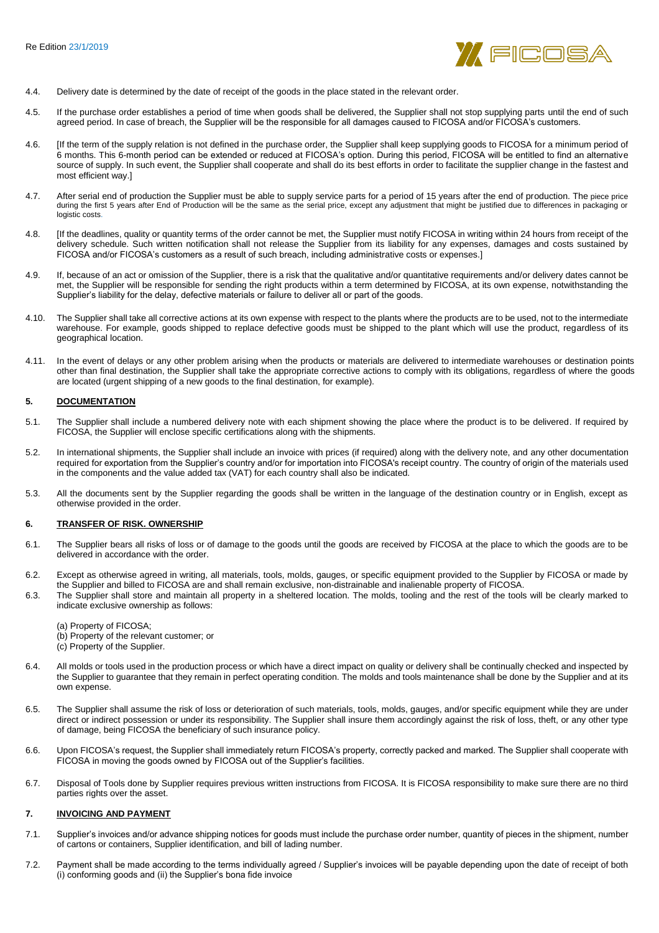

- 4.4. Delivery date is determined by the date of receipt of the goods in the place stated in the relevant order.
- 4.5. If the purchase order establishes a period of time when goods shall be delivered, the Supplier shall not stop supplying parts until the end of such agreed period. In case of breach, the Supplier will be the responsible for all damages caused to FICOSA and/or FICOSA's customers.
- 4.6. [If the term of the supply relation is not defined in the purchase order, the Supplier shall keep supplying goods to FICOSA for a minimum period of 6 months. This 6-month period can be extended or reduced at FICOSA's option. During this period, FICOSA will be entitled to find an alternative source of supply. In such event, the Supplier shall cooperate and shall do its best efforts in order to facilitate the supplier change in the fastest and most efficient way.]
- 4.7. After serial end of production the Supplier must be able to supply service parts for a period of 15 years after the end of production. The piece price during the first 5 years after End of Production will be the same as the serial price, except any adjustment that might be justified due to differences in packaging or logistic costs.
- 4.8. [If the deadlines, quality or quantity terms of the order cannot be met, the Supplier must notify FICOSA in writing within 24 hours from receipt of the delivery schedule. Such written notification shall not release the Supplier from its liability for any expenses, damages and costs sustained by FICOSA and/or FICOSA's customers as a result of such breach, including administrative costs or expenses.]
- 4.9. If, because of an act or omission of the Supplier, there is a risk that the qualitative and/or quantitative requirements and/or delivery dates cannot be met, the Supplier will be responsible for sending the right products within a term determined by FICOSA, at its own expense, notwithstanding the Supplier's liability for the delay, defective materials or failure to deliver all or part of the goods.
- 4.10. The Supplier shall take all corrective actions at its own expense with respect to the plants where the products are to be used, not to the intermediate warehouse. For example, goods shipped to replace defective goods must be shipped to the plant which will use the product, regardless of its geographical location.
- 4.11. In the event of delays or any other problem arising when the products or materials are delivered to intermediate warehouses or destination points other than final destination, the Supplier shall take the appropriate corrective actions to comply with its obligations, regardless of where the goods are located (urgent shipping of a new goods to the final destination, for example).

### **5. DOCUMENTATION**

- 5.1. The Supplier shall include a numbered delivery note with each shipment showing the place where the product is to be delivered. If required by FICOSA, the Supplier will enclose specific certifications along with the shipments.
- 5.2. In international shipments, the Supplier shall include an invoice with prices (if required) along with the delivery note, and any other documentation required for exportation from the Supplier's country and/or for importation into FICOSA's receipt country. The country of origin of the materials used in the components and the value added tax (VAT) for each country shall also be indicated.
- 5.3. All the documents sent by the Supplier regarding the goods shall be written in the language of the destination country or in English, except as otherwise provided in the order.

### **6. TRANSFER OF RISK. OWNERSHIP**

- 6.1. The Supplier bears all risks of loss or of damage to the goods until the goods are received by FICOSA at the place to which the goods are to be delivered in accordance with the order.
- 6.2. Except as otherwise agreed in writing, all materials, tools, molds, gauges, or specific equipment provided to the Supplier by FICOSA or made by the Supplier and billed to FICOSA are and shall remain exclusive, non-distrainable and inalienable property of FICOSA.
- 6.3. The Supplier shall store and maintain all property in a sheltered location. The molds, tooling and the rest of the tools will be clearly marked to indicate exclusive ownership as follows:
	- (a) Property of FICOSA;
	- (b) Property of the relevant customer; or
	- (c) Property of the Supplier.
- 6.4. All molds or tools used in the production process or which have a direct impact on quality or delivery shall be continually checked and inspected by the Supplier to guarantee that they remain in perfect operating condition. The molds and tools maintenance shall be done by the Supplier and at its own expense.
- 6.5. The Supplier shall assume the risk of loss or deterioration of such materials, tools, molds, gauges, and/or specific equipment while they are under direct or indirect possession or under its responsibility. The Supplier shall insure them accordingly against the risk of loss, theft, or any other type of damage, being FICOSA the beneficiary of such insurance policy.
- 6.6. Upon FICOSA's request, the Supplier shall immediately return FICOSA's property, correctly packed and marked. The Supplier shall cooperate with FICOSA in moving the goods owned by FICOSA out of the Supplier's facilities.
- 6.7. Disposal of Tools done by Supplier requires previous written instructions from FICOSA. It is FICOSA responsibility to make sure there are no third parties rights over the asset.

### **7. INVOICING AND PAYMENT**

- 7.1. Supplier's invoices and/or advance shipping notices for goods must include the purchase order number, quantity of pieces in the shipment, number of cartons or containers, Supplier identification, and bill of lading number.
- 7.2. Payment shall be made according to the terms individually agreed / Supplier's invoices will be payable depending upon the date of receipt of both (i) conforming goods and (ii) the Supplier's bona fide invoice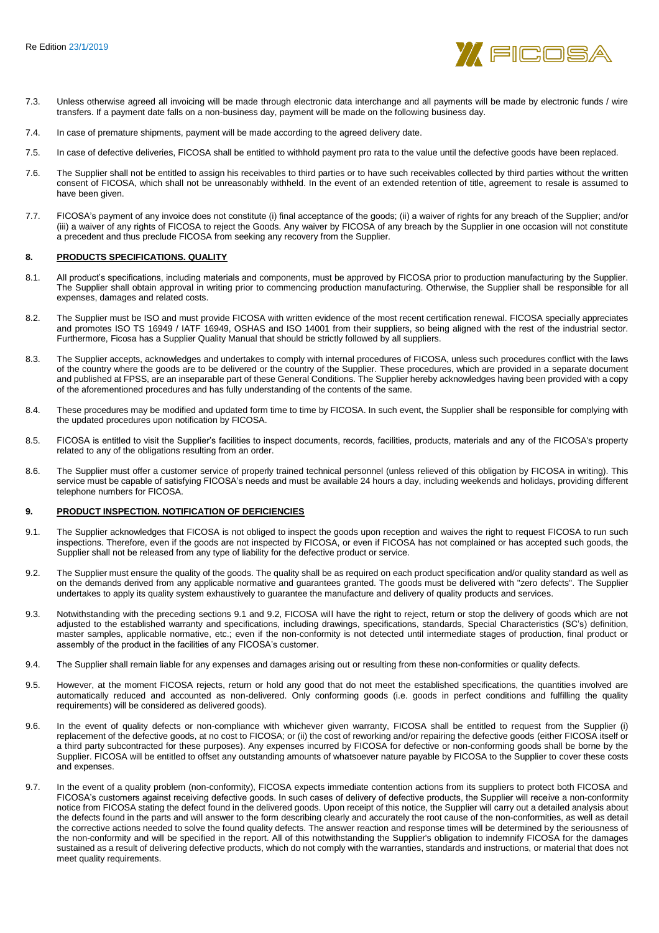

- 7.3. Unless otherwise agreed all invoicing will be made through electronic data interchange and all payments will be made by electronic funds / wire transfers. If a payment date falls on a non-business day, payment will be made on the following business day.
- 7.4. In case of premature shipments, payment will be made according to the agreed delivery date.
- 7.5. In case of defective deliveries, FICOSA shall be entitled to withhold payment pro rata to the value until the defective goods have been replaced.
- 7.6. The Supplier shall not be entitled to assign his receivables to third parties or to have such receivables collected by third parties without the written consent of FICOSA, which shall not be unreasonably withheld. In the event of an extended retention of title, agreement to resale is assumed to have been given.
- 7.7. FICOSA's payment of any invoice does not constitute (i) final acceptance of the goods; (ii) a waiver of rights for any breach of the Supplier; and/or (iii) a waiver of any rights of FICOSA to reject the Goods. Any waiver by FICOSA of any breach by the Supplier in one occasion will not constitute a precedent and thus preclude FICOSA from seeking any recovery from the Supplier.

#### **8. PRODUCTS SPECIFICATIONS. QUALITY**

- 8.1. All product's specifications, including materials and components, must be approved by FICOSA prior to production manufacturing by the Supplier. The Supplier shall obtain approval in writing prior to commencing production manufacturing. Otherwise, the Supplier shall be responsible for all expenses, damages and related costs.
- 8.2. The Supplier must be ISO and must provide FICOSA with written evidence of the most recent certification renewal. FICOSA specially appreciates and promotes ISO TS 16949 / IATF 16949, OSHAS and ISO 14001 from their suppliers, so being aligned with the rest of the industrial sector. Furthermore, Ficosa has a Supplier Quality Manual that should be strictly followed by all suppliers.
- 8.3. The Supplier accepts, acknowledges and undertakes to comply with internal procedures of FICOSA, unless such procedures conflict with the laws of the country where the goods are to be delivered or the country of the Supplier. These procedures, which are provided in a separate document and published at FPSS, are an inseparable part of these General Conditions. The Supplier hereby acknowledges having been provided with a copy of the aforementioned procedures and has fully understanding of the contents of the same.
- 8.4. These procedures may be modified and updated form time to time by FICOSA. In such event, the Supplier shall be responsible for complying with the updated procedures upon notification by FICOSA.
- 8.5. FICOSA is entitled to visit the Supplier's facilities to inspect documents, records, facilities, products, materials and any of the FICOSA's property related to any of the obligations resulting from an order.
- 8.6. The Supplier must offer a customer service of properly trained technical personnel (unless relieved of this obligation by FICOSA in writing). This service must be capable of satisfying FICOSA's needs and must be available 24 hours a day, including weekends and holidays, providing different telephone numbers for FICOSA.

#### **9. PRODUCT INSPECTION. NOTIFICATION OF DEFICIENCIES**

- 9.1. The Supplier acknowledges that FICOSA is not obliged to inspect the goods upon reception and waives the right to request FICOSA to run such inspections. Therefore, even if the goods are not inspected by FICOSA, or even if FICOSA has not complained or has accepted such goods, the Supplier shall not be released from any type of liability for the defective product or service.
- 9.2. The Supplier must ensure the quality of the goods. The quality shall be as required on each product specification and/or quality standard as well as on the demands derived from any applicable normative and guarantees granted. The goods must be delivered with "zero defects". The Supplier undertakes to apply its quality system exhaustively to guarantee the manufacture and delivery of quality products and services.
- 9.3. Notwithstanding with the preceding sections 9.1 and 9.2, FICOSA will have the right to reject, return or stop the delivery of goods which are not adjusted to the established warranty and specifications, including drawings, specifications, standards, Special Characteristics (SC's) definition, master samples, applicable normative, etc.; even if the non-conformity is not detected until intermediate stages of production, final product or assembly of the product in the facilities of any FICOSA's customer.
- 9.4. The Supplier shall remain liable for any expenses and damages arising out or resulting from these non-conformities or quality defects.
- 9.5. However, at the moment FICOSA rejects, return or hold any good that do not meet the established specifications, the quantities involved are automatically reduced and accounted as non-delivered. Only conforming goods (i.e. goods in perfect conditions and fulfilling the quality requirements) will be considered as delivered goods).
- 9.6. In the event of quality defects or non-compliance with whichever given warranty, FICOSA shall be entitled to request from the Supplier (i) replacement of the defective goods, at no cost to FICOSA; or (ii) the cost of reworking and/or repairing the defective goods (either FICOSA itself or a third party subcontracted for these purposes). Any expenses incurred by FICOSA for defective or non-conforming goods shall be borne by the Supplier. FICOSA will be entitled to offset any outstanding amounts of whatsoever nature payable by FICOSA to the Supplier to cover these costs and expenses.
- 9.7. In the event of a quality problem (non-conformity), FICOSA expects immediate contention actions from its suppliers to protect both FICOSA and FICOSA's customers against receiving defective goods. In such cases of delivery of defective products, the Supplier will receive a non-conformity notice from FICOSA stating the defect found in the delivered goods. Upon receipt of this notice, the Supplier will carry out a detailed analysis about the defects found in the parts and will answer to the form describing clearly and accurately the root cause of the non-conformities, as well as detail the corrective actions needed to solve the found quality defects. The answer reaction and response times will be determined by the seriousness of the non-conformity and will be specified in the report. All of this notwithstanding the Supplier's obligation to indemnify FICOSA for the damages sustained as a result of delivering defective products, which do not comply with the warranties, standards and instructions, or material that does not meet quality requirements.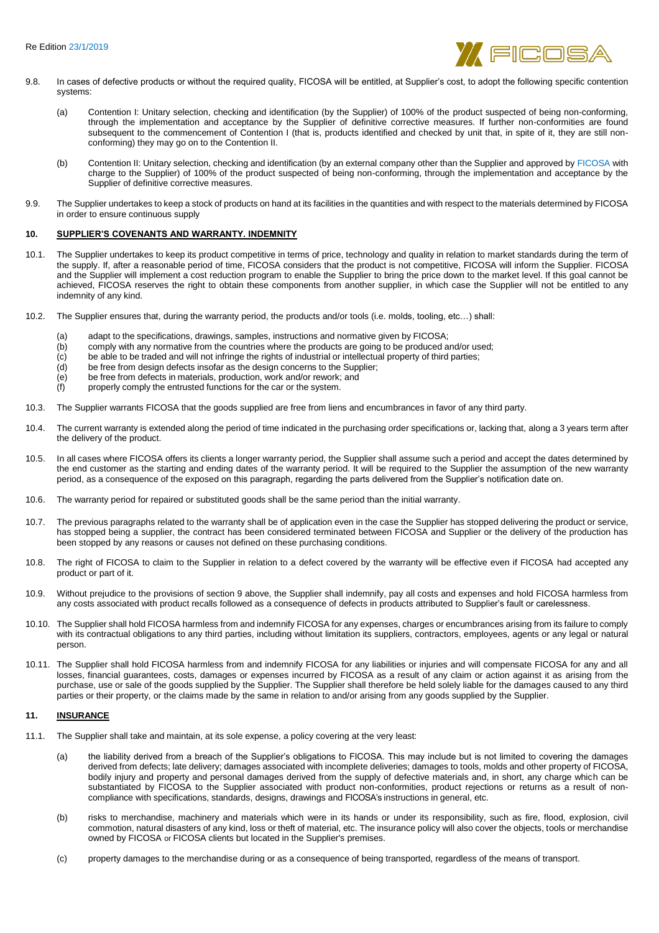

- 9.8. In cases of defective products or without the required quality, FICOSA will be entitled, at Supplier's cost, to adopt the following specific contention systems:
	- (a) Contention I: Unitary selection, checking and identification (by the Supplier) of 100% of the product suspected of being non-conforming, through the implementation and acceptance by the Supplier of definitive corrective measures. If further non-conformities are found subsequent to the commencement of Contention I (that is, products identified and checked by unit that, in spite of it, they are still nonconforming) they may go on to the Contention II.
	- (b) Contention II: Unitary selection, checking and identification (by an external company other than the Supplier and approved by FICOSA with charge to the Supplier) of 100% of the product suspected of being non-conforming, through the implementation and acceptance by the Supplier of definitive corrective measures.
- 9.9. The Supplier undertakes to keep a stock of products on hand at its facilities in the quantities and with respect to the materials determined by FICOSA in order to ensure continuous supply

# **10. SUPPLIER'S COVENANTS AND WARRANTY. INDEMNITY**

- 10.1. The Supplier undertakes to keep its product competitive in terms of price, technology and quality in relation to market standards during the term of the supply. If, after a reasonable period of time, FICOSA considers that the product is not competitive, FICOSA will inform the Supplier. FICOSA and the Supplier will implement a cost reduction program to enable the Supplier to bring the price down to the market level. If this goal cannot be achieved, FICOSA reserves the right to obtain these components from another supplier, in which case the Supplier will not be entitled to any indemnity of any kind.
- 10.2. The Supplier ensures that, during the warranty period, the products and/or tools (i.e. molds, tooling, etc…) shall:
	- (a) adapt to the specifications, drawings, samples, instructions and normative given by FICOSA;
	- (b) comply with any normative from the countries where the products are going to be produced and/or used;<br>(c) be able to be traded and will not infringe the rights of industrial or intellectual property of third parties;
	- (c) be able to be traded and will not infringe the rights of industrial or intellectual property of third parties;<br>(d) be free from design defects insofar as the design concerns to the Supplier;
	- be free from design defects insofar as the design concerns to the Supplier;
	- (e) be free from defects in materials, production, work and/or rework; and
	- (f) properly comply the entrusted functions for the car or the system.
- 10.3. The Supplier warrants FICOSA that the goods supplied are free from liens and encumbrances in favor of any third party.
- 10.4. The current warranty is extended along the period of time indicated in the purchasing order specifications or, lacking that, along a 3 years term after the delivery of the product.
- 10.5. In all cases where FICOSA offers its clients a longer warranty period, the Supplier shall assume such a period and accept the dates determined by the end customer as the starting and ending dates of the warranty period. It will be required to the Supplier the assumption of the new warranty period, as a consequence of the exposed on this paragraph, regarding the parts delivered from the Supplier's notification date on.
- 10.6. The warranty period for repaired or substituted goods shall be the same period than the initial warranty.
- 10.7. The previous paragraphs related to the warranty shall be of application even in the case the Supplier has stopped delivering the product or service, has stopped being a supplier, the contract has been considered terminated between FICOSA and Supplier or the delivery of the production has been stopped by any reasons or causes not defined on these purchasing conditions.
- 10.8. The right of FICOSA to claim to the Supplier in relation to a defect covered by the warranty will be effective even if FICOSA had accepted any product or part of it.
- 10.9. Without prejudice to the provisions of section 9 above, the Supplier shall indemnify, pay all costs and expenses and hold FICOSA harmless from any costs associated with product recalls followed as a consequence of defects in products attributed to Supplier's fault or carelessness.
- 10.10. The Supplier shall hold FICOSA harmless from and indemnify FICOSA for any expenses, charges or encumbrances arising from its failure to comply with its contractual obligations to any third parties, including without limitation its suppliers, contractors, employees, agents or any legal or natural person.
- 10.11. The Supplier shall hold FICOSA harmless from and indemnify FICOSA for any liabilities or injuries and will compensate FICOSA for any and all losses, financial guarantees, costs, damages or expenses incurred by FICOSA as a result of any claim or action against it as arising from the purchase, use or sale of the goods supplied by the Supplier. The Supplier shall therefore be held solely liable for the damages caused to any third parties or their property, or the claims made by the same in relation to and/or arising from any goods supplied by the Supplier.

#### **11. INSURANCE**

- 11.1. The Supplier shall take and maintain, at its sole expense, a policy covering at the very least:
	- (a) the liability derived from a breach of the Supplier's obligations to FICOSA. This may include but is not limited to covering the damages derived from defects; late delivery; damages associated with incomplete deliveries; damages to tools, molds and other property of FICOSA, bodily injury and property and personal damages derived from the supply of defective materials and, in short, any charge which can be substantiated by FICOSA to the Supplier associated with product non-conformities, product rejections or returns as a result of noncompliance with specifications, standards, designs, drawings and FICOSA's instructions in general, etc.
	- (b) risks to merchandise, machinery and materials which were in its hands or under its responsibility, such as fire, flood, explosion, civil commotion, natural disasters of any kind, loss or theft of material, etc. The insurance policy will also cover the objects, tools or merchandise owned by FICOSA or FICOSA clients but located in the Supplier's premises.
	- (c) property damages to the merchandise during or as a consequence of being transported, regardless of the means of transport.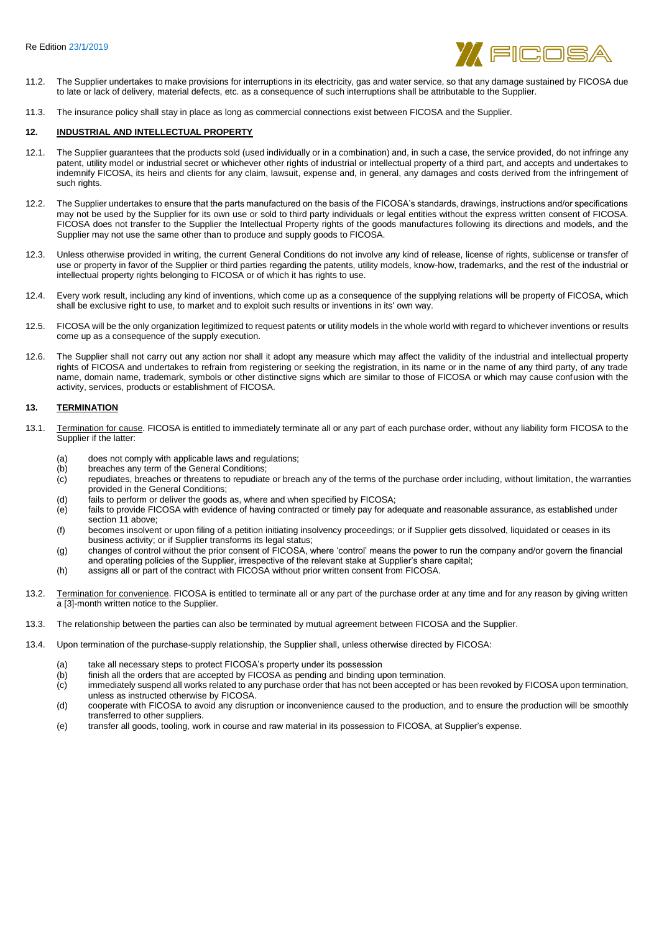

- 11.2. The Supplier undertakes to make provisions for interruptions in its electricity, gas and water service, so that any damage sustained by FICOSA due to late or lack of delivery, material defects, etc. as a consequence of such interruptions shall be attributable to the Supplier.
- 11.3. The insurance policy shall stay in place as long as commercial connections exist between FICOSA and the Supplier.

#### **12. INDUSTRIAL AND INTELLECTUAL PROPERTY**

- 12.1. The Supplier guarantees that the products sold (used individually or in a combination) and, in such a case, the service provided, do not infringe any patent, utility model or industrial secret or whichever other rights of industrial or intellectual property of a third part, and accepts and undertakes to indemnify FICOSA, its heirs and clients for any claim, lawsuit, expense and, in general, any damages and costs derived from the infringement of such rights.
- 12.2. The Supplier undertakes to ensure that the parts manufactured on the basis of the FICOSA's standards, drawings, instructions and/or specifications may not be used by the Supplier for its own use or sold to third party individuals or legal entities without the express written consent of FICOSA. FICOSA does not transfer to the Supplier the Intellectual Property rights of the goods manufactures following its directions and models, and the Supplier may not use the same other than to produce and supply goods to FICOSA.
- 12.3. Unless otherwise provided in writing, the current General Conditions do not involve any kind of release, license of rights, sublicense or transfer of use or property in favor of the Supplier or third parties regarding the patents, utility models, know-how, trademarks, and the rest of the industrial or intellectual property rights belonging to FICOSA or of which it has rights to use.
- 12.4. Every work result, including any kind of inventions, which come up as a consequence of the supplying relations will be property of FICOSA, which shall be exclusive right to use, to market and to exploit such results or inventions in its' own way.
- 12.5. FICOSA will be the only organization legitimized to request patents or utility models in the whole world with regard to whichever inventions or results come up as a consequence of the supply execution.
- 12.6. The Supplier shall not carry out any action nor shall it adopt any measure which may affect the validity of the industrial and intellectual property rights of FICOSA and undertakes to refrain from registering or seeking the registration, in its name or in the name of any third party, of any trade name, domain name, trademark, symbols or other distinctive signs which are similar to those of FICOSA or which may cause confusion with the activity, services, products or establishment of FICOSA.

# **13. TERMINATION**

- 13.1. Termination for cause. FICOSA is entitled to immediately terminate all or any part of each purchase order, without any liability form FICOSA to the Supplier if the latter:
	- (a) does not comply with applicable laws and regulations;
	-
	- (b) breaches any term of the General Conditions;<br>(c) repudiates, breaches or threatens to repudiate repudiates, breaches or threatens to repudiate or breach any of the terms of the purchase order including, without limitation, the warranties provided in the General Conditions;
	- (d) fails to perform or deliver the goods as, where and when specified by FICOSA;
	- (e) fails to provide FICOSA with evidence of having contracted or timely pay for adequate and reasonable assurance, as established under section 11 above;
	- (f) becomes insolvent or upon filing of a petition initiating insolvency proceedings; or if Supplier gets dissolved, liquidated or ceases in its business activity; or if Supplier transforms its legal status;
	- (g) changes of control without the prior consent of FICOSA, where 'control' means the power to run the company and/or govern the financial and operating policies of the Supplier, irrespective of the relevant stake at Supplier's share capital;
	- (h) assigns all or part of the contract with FICOSA without prior written consent from FICOSA.
- 13.2. Termination for convenience. FICOSA is entitled to terminate all or any part of the purchase order at any time and for any reason by giving written a [3]-month written notice to the Supplier.
- 13.3. The relationship between the parties can also be terminated by mutual agreement between FICOSA and the Supplier.
- 13.4. Upon termination of the purchase-supply relationship, the Supplier shall, unless otherwise directed by FICOSA:
	- (a) take all necessary steps to protect FICOSA's property under its possession<br>(b) finish all the orders that are accepted by FICOSA as pending and binding un
	- finish all the orders that are accepted by FICOSA as pending and binding upon termination.
	- $\dot{c}$  immediately suspend all works related to any purchase order that has not been accepted or has been revoked by FICOSA upon termination, unless as instructed otherwise by FICOSA.
	- (d) cooperate with FICOSA to avoid any disruption or inconvenience caused to the production, and to ensure the production will be smoothly transferred to other suppliers.
	- (e) transfer all goods, tooling, work in course and raw material in its possession to FICOSA, at Supplier's expense.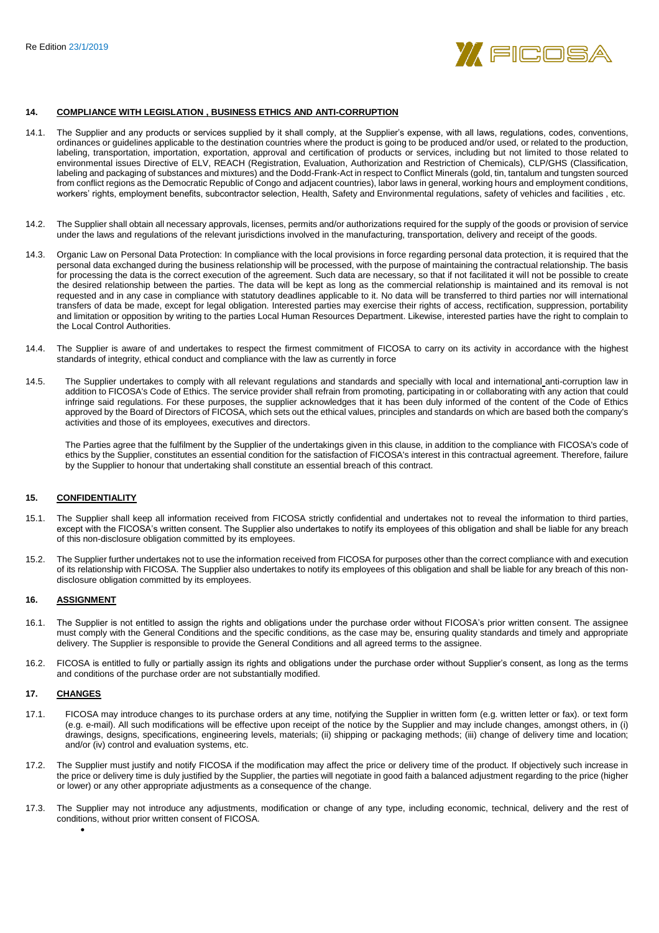

#### **14. COMPLIANCE WITH LEGISLATION , BUSINESS ETHICS AND ANTI-CORRUPTION**

- 14.1. The Supplier and any products or services supplied by it shall comply, at the Supplier's expense, with all laws, regulations, codes, conventions, ordinances or guidelines applicable to the destination countries where the product is going to be produced and/or used, or related to the production, labeling, transportation, importation, exportation, approval and certification of products or services, including but not limited to those related to environmental issues Directive of ELV, REACH (Registration, Evaluation, Authorization and Restriction of Chemicals), CLP/GHS (Classification, labeling and packaging of substances and mixtures) and the Dodd-Frank-Act in respect to Conflict Minerals (gold, tin, tantalum and tungsten sourced from conflict regions as the Democratic Republic of Congo and adjacent countries), labor laws in general, working hours and employment conditions, workers' rights, employment benefits, subcontractor selection, Health, Safety and Environmental regulations, safety of vehicles and facilities , etc.
- 14.2. The Supplier shall obtain all necessary approvals, licenses, permits and/or authorizations required for the supply of the goods or provision of service under the laws and regulations of the relevant jurisdictions involved in the manufacturing, transportation, delivery and receipt of the goods.
- 14.3. Organic Law on Personal Data Protection: In compliance with the local provisions in force regarding personal data protection, it is required that the personal data exchanged during the business relationship will be processed, with the purpose of maintaining the contractual relationship. The basis for processing the data is the correct execution of the agreement. Such data are necessary, so that if not facilitated it will not be possible to create the desired relationship between the parties. The data will be kept as long as the commercial relationship is maintained and its removal is not requested and in any case in compliance with statutory deadlines applicable to it. No data will be transferred to third parties nor will international transfers of data be made, except for legal obligation. Interested parties may exercise their rights of access, rectification, suppression, portability and limitation or opposition by writing to the parties Local Human Resources Department. Likewise, interested parties have the right to complain to the Local Control Authorities.
- 14.4. The Supplier is aware of and undertakes to respect the firmest commitment of FICOSA to carry on its activity in accordance with the highest standards of integrity, ethical conduct and compliance with the law as currently in force
- 14.5. The Supplier undertakes to comply with all relevant regulations and standards and specially with local and international anti-corruption law in addition to FICOSA's Code of Ethics. The service provider shall refrain from promoting, participating in or collaborating with any action that could infringe said regulations. For these purposes, the supplier acknowledges that it has been duly informed of the content of the Code of Ethics approved by the Board of Directors of FICOSA, which sets out the ethical values, principles and standards on which are based both the company's activities and those of its employees, executives and directors.

The Parties agree that the fulfilment by the Supplier of the undertakings given in this clause, in addition to the compliance with FICOSA's code of ethics by the Supplier, constitutes an essential condition for the satisfaction of FICOSA's interest in this contractual agreement. Therefore, failure by the Supplier to honour that undertaking shall constitute an essential breach of this contract.

# **15. CONFIDENTIALITY**

- 15.1. The Supplier shall keep all information received from FICOSA strictly confidential and undertakes not to reveal the information to third parties, except with the FICOSA's written consent. The Supplier also undertakes to notify its employees of this obligation and shall be liable for any breach of this non-disclosure obligation committed by its employees.
- 15.2. The Supplier further undertakes not to use the information received from FICOSA for purposes other than the correct compliance with and execution of its relationship with FICOSA. The Supplier also undertakes to notify its employees of this obligation and shall be liable for any breach of this nondisclosure obligation committed by its employees.

# **16. ASSIGNMENT**

- 16.1. The Supplier is not entitled to assign the rights and obligations under the purchase order without FICOSA's prior written consent. The assignee must comply with the General Conditions and the specific conditions, as the case may be, ensuring quality standards and timely and appropriate delivery. The Supplier is responsible to provide the General Conditions and all agreed terms to the assignee.
- 16.2. FICOSA is entitled to fully or partially assign its rights and obligations under the purchase order without Supplier's consent, as long as the terms and conditions of the purchase order are not substantially modified.

#### **17. CHANGES**

 $\bullet$ 

- 17.1. FICOSA may introduce changes to its purchase orders at any time, notifying the Supplier in written form (e.g. written letter or fax). or text form (e.g. e-mail). All such modifications will be effective upon receipt of the notice by the Supplier and may include changes, amongst others, in (i) drawings, designs, specifications, engineering levels, materials; (ii) shipping or packaging methods; (iii) change of delivery time and location; and/or (iv) control and evaluation systems, etc.
- 17.2. The Supplier must justify and notify FICOSA if the modification may affect the price or delivery time of the product. If objectively such increase in the price or delivery time is duly justified by the Supplier, the parties will negotiate in good faith a balanced adjustment regarding to the price (higher or lower) or any other appropriate adjustments as a consequence of the change.
- 17.3. The Supplier may not introduce any adjustments, modification or change of any type, including economic, technical, delivery and the rest of conditions, without prior written consent of FICOSA.